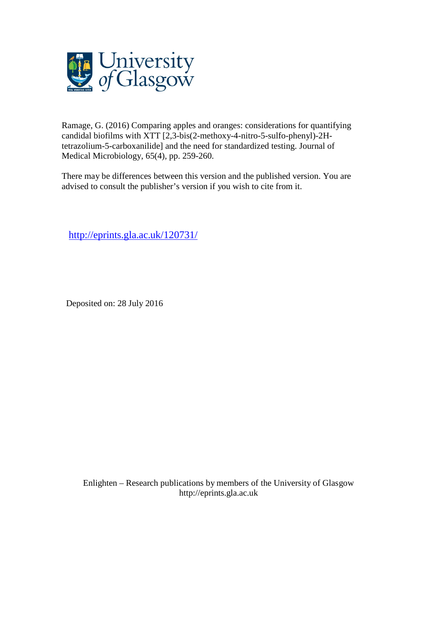

Ramage, G. (2016) Comparing apples and oranges: considerations for quantifying candidal biofilms with XTT [2,3-bis(2-methoxy-4-nitro-5-sulfo-phenyl)-2Htetrazolium-5-carboxanilide] and the need for standardized testing. Journal of Medical Microbiology, 65(4), pp. 259-260.

There may be differences between this version and the published version. You are advised to consult the publisher's version if you wish to cite from it.

<http://eprints.gla.ac.uk/120731/>

Deposited on: 28 July 2016

Enlighten – Research publications by members of the University of Glasgo[w](http://eprints.gla.ac.uk/) [http://eprints.gla.ac.uk](http://eprints.gla.ac.uk/)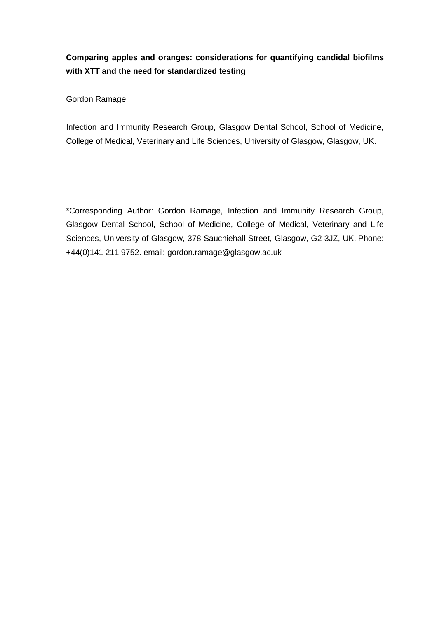## **Comparing apples and oranges: considerations for quantifying candidal biofilms with XTT and the need for standardized testing**

Gordon Ramage

Infection and Immunity Research Group, Glasgow Dental School, School of Medicine, College of Medical, Veterinary and Life Sciences, University of Glasgow, Glasgow, UK.

\*Corresponding Author: Gordon Ramage, Infection and Immunity Research Group, Glasgow Dental School, School of Medicine, College of Medical, Veterinary and Life Sciences, University of Glasgow, 378 Sauchiehall Street, Glasgow, G2 3JZ, UK. Phone: +44(0)141 211 9752. email: gordon.ramage@glasgow.ac.uk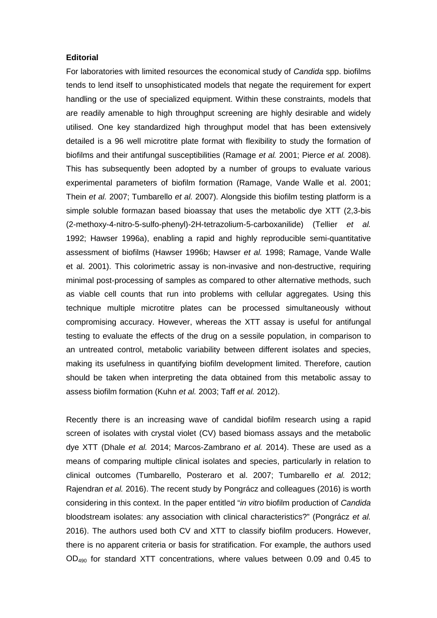## **Editorial**

For laboratories with limited resources the economical study of *Candida* spp. biofilms tends to lend itself to unsophisticated models that negate the requirement for expert handling or the use of specialized equipment. Within these constraints, models that are readily amenable to high throughput screening are highly desirable and widely utilised. One key standardized high throughput model that has been extensively detailed is a 96 well microtitre plate format with flexibility to study the formation of biofilms and their antifungal susceptibilities (Ramage *et al.* 2001; Pierce *et al.* 2008). This has subsequently been adopted by a number of groups to evaluate various experimental parameters of biofilm formation (Ramage, Vande Walle et al. 2001; Thein *et al.* 2007; Tumbarello *et al.* 2007). Alongside this biofilm testing platform is a simple soluble formazan based bioassay that uses the metabolic dye XTT (2,3-bis (2-methoxy-4-nitro-5-sulfo-phenyl)-2H-tetrazolium-5-carboxanilide) (Tellier *et al.* 1992; Hawser 1996a), enabling a rapid and highly reproducible semi-quantitative assessment of biofilms (Hawser 1996b; Hawser *et al.* 1998; Ramage, Vande Walle et al. 2001). This colorimetric assay is non-invasive and non-destructive, requiring minimal post-processing of samples as compared to other alternative methods, such as viable cell counts that run into problems with cellular aggregates. Using this technique multiple microtitre plates can be processed simultaneously without compromising accuracy. However, whereas the XTT assay is useful for antifungal testing to evaluate the effects of the drug on a sessile population, in comparison to an untreated control, metabolic variability between different isolates and species, making its usefulness in quantifying biofilm development limited. Therefore, caution should be taken when interpreting the data obtained from this metabolic assay to assess biofilm formation (Kuhn *et al.* 2003; Taff *et al.* 2012).

Recently there is an increasing wave of candidal biofilm research using a rapid screen of isolates with crystal violet (CV) based biomass assays and the metabolic dye XTT (Dhale *et al.* 2014; Marcos-Zambrano *et al.* 2014). These are used as a means of comparing multiple clinical isolates and species, particularly in relation to clinical outcomes (Tumbarello, Posteraro et al. 2007; Tumbarello *et al.* 2012; Rajendran *et al.* 2016). The recent study by Pongrácz and colleagues (2016) is worth considering in this context. In the paper entitled "*in vitro* biofilm production of *Candida* bloodstream isolates: any association with clinical characteristics?" (Pongrácz *et al.* 2016). The authors used both CV and XTT to classify biofilm producers. However, there is no apparent criteria or basis for stratification. For example, the authors used OD490 for standard XTT concentrations, where values between 0.09 and 0.45 to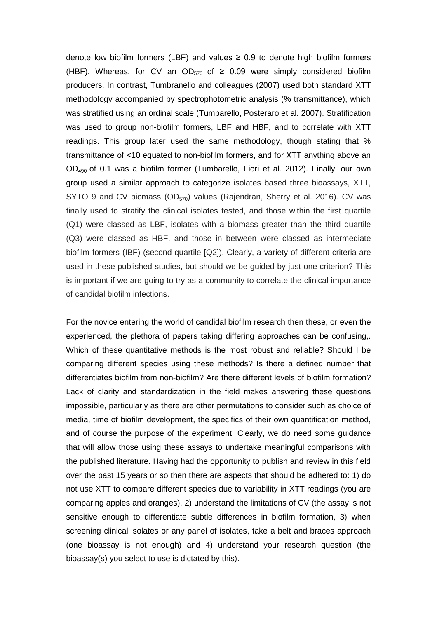denote low biofilm formers (LBF) and values  $\geq 0.9$  to denote high biofilm formers (HBF). Whereas, for CV an OD<sub>570</sub> of  $\geq$  0.09 were simply considered biofilm producers. In contrast, Tumbranello and colleagues (2007) used both standard XTT methodology accompanied by spectrophotometric analysis (% transmittance), which was stratified using an ordinal scale (Tumbarello, Posteraro et al. 2007). Stratification was used to group non-biofilm formers, LBF and HBF, and to correlate with XTT readings. This group later used the same methodology, though stating that % transmittance of <10 equated to non-biofilm formers, and for XTT anything above an OD490 of 0.1 was a biofilm former (Tumbarello, Fiori et al. 2012). Finally, our own group used a similar approach to categorize isolates based three bioassays, XTT, SYTO 9 and CV biomass  $OD_{570}$  values (Rajendran, Sherry et al. 2016). CV was finally used to stratify the clinical isolates tested, and those within the first quartile (Q1) were classed as LBF, isolates with a biomass greater than the third quartile (Q3) were classed as HBF, and those in between were classed as intermediate biofilm formers (IBF) (second quartile [Q2]). Clearly, a variety of different criteria are used in these published studies, but should we be guided by just one criterion? This is important if we are going to try as a community to correlate the clinical importance of candidal biofilm infections.

For the novice entering the world of candidal biofilm research then these, or even the experienced, the plethora of papers taking differing approaches can be confusing,. Which of these quantitative methods is the most robust and reliable? Should I be comparing different species using these methods? Is there a defined number that differentiates biofilm from non-biofilm? Are there different levels of biofilm formation? Lack of clarity and standardization in the field makes answering these questions impossible, particularly as there are other permutations to consider such as choice of media, time of biofilm development, the specifics of their own quantification method, and of course the purpose of the experiment. Clearly, we do need some guidance that will allow those using these assays to undertake meaningful comparisons with the published literature. Having had the opportunity to publish and review in this field over the past 15 years or so then there are aspects that should be adhered to: 1) do not use XTT to compare different species due to variability in XTT readings (you are comparing apples and oranges), 2) understand the limitations of CV (the assay is not sensitive enough to differentiate subtle differences in biofilm formation, 3) when screening clinical isolates or any panel of isolates, take a belt and braces approach (one bioassay is not enough) and 4) understand your research question (the bioassay(s) you select to use is dictated by this).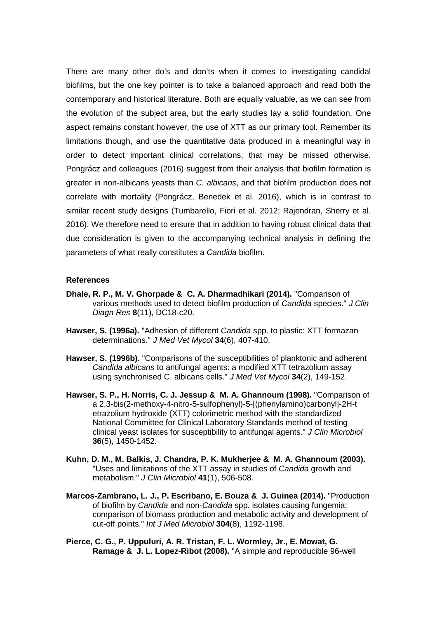There are many other do's and don'ts when it comes to investigating candidal biofilms, but the one key pointer is to take a balanced approach and read both the contemporary and historical literature. Both are equally valuable, as we can see from the evolution of the subject area, but the early studies lay a solid foundation. One aspect remains constant however, the use of XTT as our primary tool. Remember its limitations though, and use the quantitative data produced in a meaningful way in order to detect important clinical correlations, that may be missed otherwise. Pongrácz and colleagues (2016) suggest from their analysis that biofilm formation is greater in non-albicans yeasts than *C. albicans*, and that biofilm production does not correlate with mortality (Pongrácz, Benedek et al. 2016), which is in contrast to similar recent study designs (Tumbarello, Fiori et al. 2012; Rajendran, Sherry et al. 2016). We therefore need to ensure that in addition to having robust clinical data that due consideration is given to the accompanying technical analysis in defining the parameters of what really constitutes a *Candida* biofilm.

## **References**

- **Dhale, R. P., M. V. Ghorpade & C. A. Dharmadhikari (2014).** "Comparison of various methods used to detect biofilm production of *Candida* species." *J Clin Diagn Res* **8**(11), DC18-c20.
- **Hawser, S. (1996a).** "Adhesion of different *Candida* spp. to plastic: XTT formazan determinations." *J Med Vet Mycol* **34**(6), 407-410.
- **Hawser, S. (1996b).** "Comparisons of the susceptibilities of planktonic and adherent *Candida albicans* to antifungal agents: a modified XTT tetrazolium assay using synchronised C. albicans cells." *J Med Vet Mycol* **34**(2), 149-152.
- **Hawser, S. P., H. Norris, C. J. Jessup & M. A. Ghannoum (1998).** "Comparison of a 2,3-bis(2-methoxy-4-nitro-5-sulfophenyl)-5-[(phenylamino)carbonyl]-2H-t etrazolium hydroxide (XTT) colorimetric method with the standardized National Committee for Clinical Laboratory Standards method of testing clinical yeast isolates for susceptibility to antifungal agents." *J Clin Microbiol* **36**(5), 1450-1452.
- **Kuhn, D. M., M. Balkis, J. Chandra, P. K. Mukherjee & M. A. Ghannoum (2003).** "Uses and limitations of the XTT assay in studies of *Candida* growth and metabolism." *J Clin Microbiol* **41**(1), 506-508.
- **Marcos-Zambrano, L. J., P. Escribano, E. Bouza & J. Guinea (2014).** "Production of biofilm by *Candida* and non-*Candida* spp. isolates causing fungemia: comparison of biomass production and metabolic activity and development of cut-off points." *Int J Med Microbiol* **304**(8), 1192-1198.
- **Pierce, C. G., P. Uppuluri, A. R. Tristan, F. L. Wormley, Jr., E. Mowat, G. Ramage & J. L. Lopez-Ribot (2008).** "A simple and reproducible 96-well